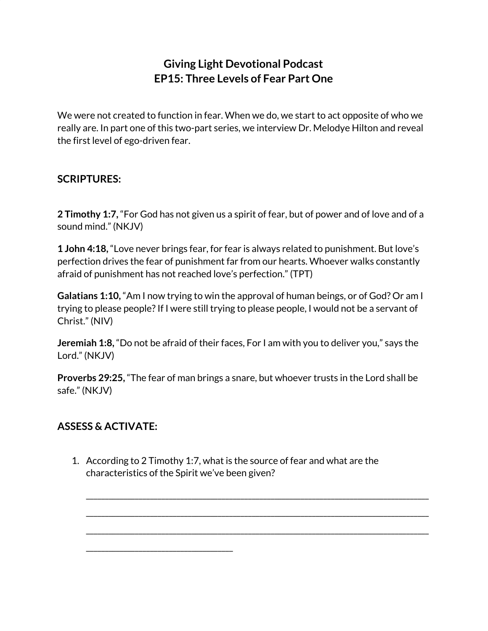## **Giving Light Devotional Podcast EP15: Three Levels of Fear Part One**

We were not created to function in fear. When we do, we start to act opposite of who we really are. In part one of this two-part series, we interview Dr. Melodye Hilton and reveal the first level of ego-driven fear.

## **SCRIPTURES:**

**2 Timothy 1:7,** "For God has not given us a spirit of fear, but of power and of love and of a sound mind." (NKJV)

**1 John 4:18,** "Love never brings fear, for fear is always related to punishment. But love's perfection drives the fear of punishment far from our hearts. Whoever walks constantly afraid of punishment has not reached love's perfection." (TPT)

**Galatians 1:10,** "Am I now trying to win the approval of human beings, or of God? Or am I trying to please people?If I were still trying to please people, I would not be a servant of Christ." (NIV)

**Jeremiah 1:8,** "Do not be afraid of their faces, For I am with you to deliver you," says the Lord." (NKJV)

**Proverbs 29:25,** "The fear of man brings a snare, but whoever trusts in the Lord shall be safe." (NKJV)

## **ASSESS & ACTIVATE:**

\_\_\_\_\_\_\_\_\_\_\_\_\_\_\_\_\_\_\_\_\_\_\_\_\_\_\_\_\_\_\_\_\_\_\_\_\_\_\_

1. According to 2 Timothy 1:7, what is the source of fear and what are the characteristics of the Spirit we've been given?

\_\_\_\_\_\_\_\_\_\_\_\_\_\_\_\_\_\_\_\_\_\_\_\_\_\_\_\_\_\_\_\_\_\_\_\_\_\_\_\_\_\_\_\_\_\_\_\_\_\_\_\_\_\_\_\_\_\_\_\_\_\_\_\_\_\_\_\_\_\_\_\_\_\_\_\_\_\_\_\_\_\_\_\_\_\_\_\_\_\_\_

\_\_\_\_\_\_\_\_\_\_\_\_\_\_\_\_\_\_\_\_\_\_\_\_\_\_\_\_\_\_\_\_\_\_\_\_\_\_\_\_\_\_\_\_\_\_\_\_\_\_\_\_\_\_\_\_\_\_\_\_\_\_\_\_\_\_\_\_\_\_\_\_\_\_\_\_\_\_\_\_\_\_\_\_\_\_\_\_\_\_\_

\_\_\_\_\_\_\_\_\_\_\_\_\_\_\_\_\_\_\_\_\_\_\_\_\_\_\_\_\_\_\_\_\_\_\_\_\_\_\_\_\_\_\_\_\_\_\_\_\_\_\_\_\_\_\_\_\_\_\_\_\_\_\_\_\_\_\_\_\_\_\_\_\_\_\_\_\_\_\_\_\_\_\_\_\_\_\_\_\_\_\_